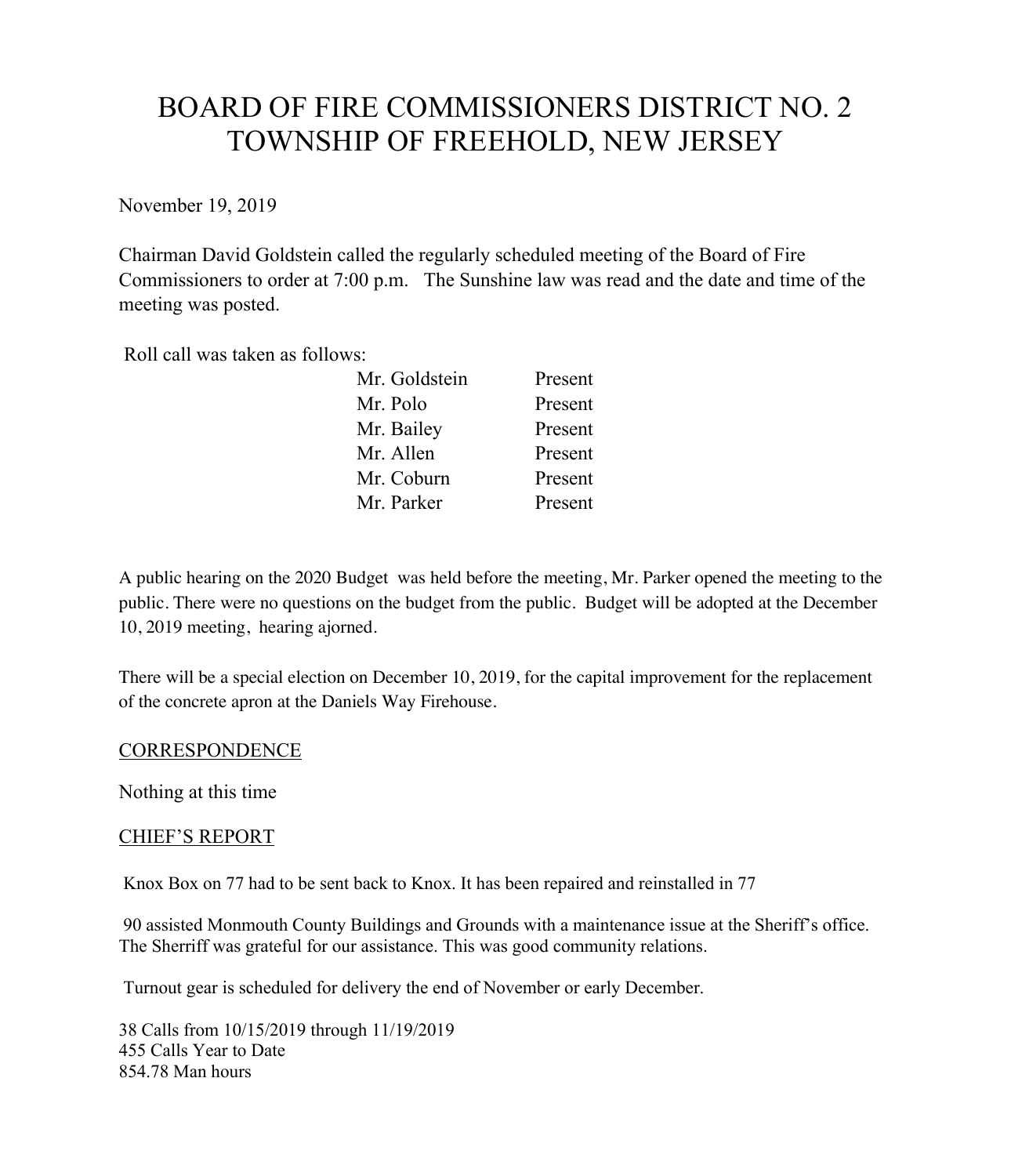# BOARD OF FIRE COMMISSIONERS DISTRICT NO. 2 TOWNSHIP OF FREEHOLD, NEW JERSEY

November 19, 2019

Chairman David Goldstein called the regularly scheduled meeting of the Board of Fire Commissioners to order at 7:00 p.m. The Sunshine law was read and the date and time of the meeting was posted.

Roll call was taken as follows:

| Mr. Goldstein | Present |
|---------------|---------|
| Mr. Polo      | Present |
| Mr. Bailey    | Present |
| Mr. Allen     | Present |
| Mr. Coburn    | Present |
| Mr. Parker    | Present |

A public hearing on the 2020 Budget was held before the meeting, Mr. Parker opened the meeting to the public. There were no questions on the budget from the public. Budget will be adopted at the December 10, 2019 meeting, hearing ajorned.

There will be a special election on December 10, 2019, for the capital improvement for the replacement of the concrete apron at the Daniels Way Firehouse.

#### **CORRESPONDENCE**

Nothing at this time

## CHIEF'S REPORT

Knox Box on 77 had to be sent back to Knox. It has been repaired and reinstalled in 77

90 assisted Monmouth County Buildings and Grounds with a maintenance issue at the Sheriff's office. The Sherriff was grateful for our assistance. This was good community relations.

Turnout gear is scheduled for delivery the end of November or early December.

38 Calls from 10/15/2019 through 11/19/2019 455 Calls Year to Date 854.78 Man hours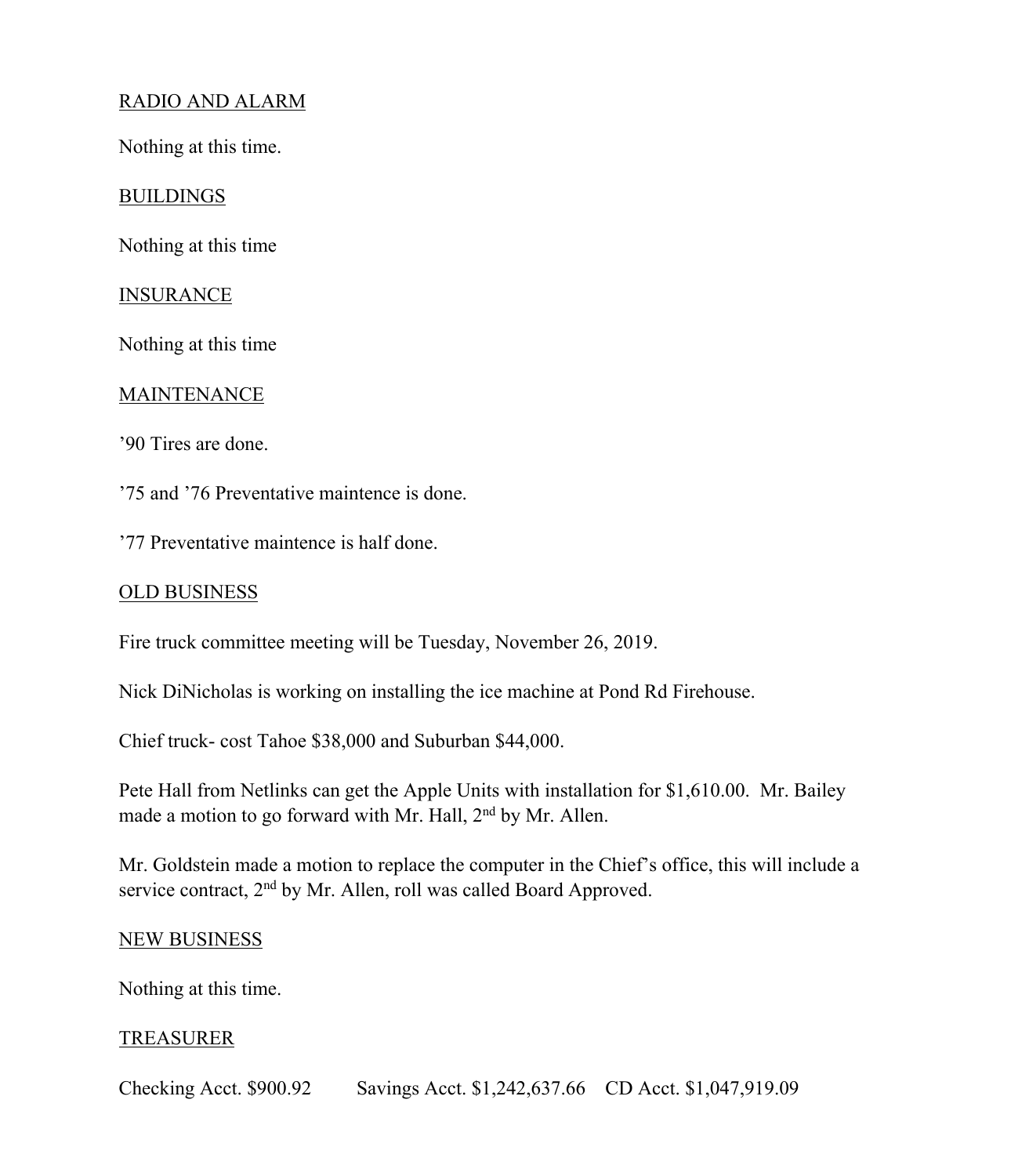# RADIO AND ALARM

Nothing at this time.

#### **BUILDINGS**

Nothing at this time

#### **INSURANCE**

Nothing at this time

#### **MAINTENANCE**

'90 Tires are done.

'75 and '76 Preventative maintence is done.

'77 Preventative maintence is half done.

#### OLD BUSINESS

Fire truck committee meeting will be Tuesday, November 26, 2019.

Nick DiNicholas is working on installing the ice machine at Pond Rd Firehouse.

Chief truck- cost Tahoe \$38,000 and Suburban \$44,000.

Pete Hall from Netlinks can get the Apple Units with installation for \$1,610.00. Mr. Bailey made a motion to go forward with Mr. Hall, 2<sup>nd</sup> by Mr. Allen.

Mr. Goldstein made a motion to replace the computer in the Chief's office, this will include a service contract, 2<sup>nd</sup> by Mr. Allen, roll was called Board Approved.

#### NEW BUSINESS

Nothing at this time.

## TREASURER

Checking Acct. \$900.92 Savings Acct. \$1,242,637.66 CD Acct. \$1,047,919.09